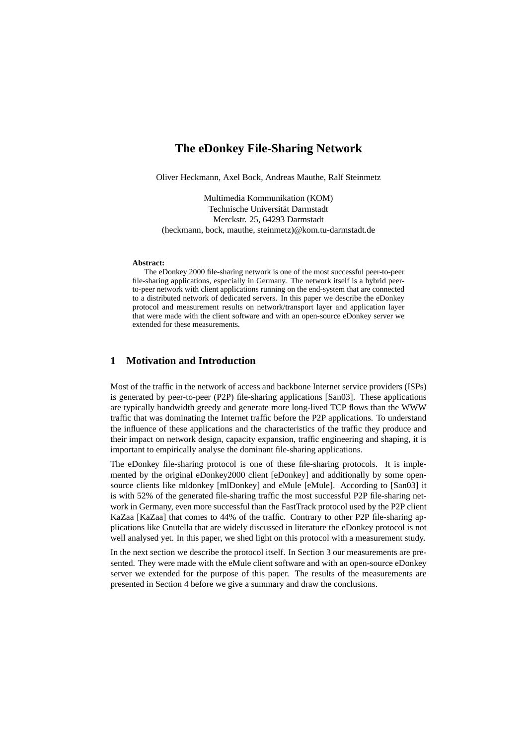# **The eDonkey File-Sharing Network**

Oliver Heckmann, Axel Bock, Andreas Mauthe, Ralf Steinmetz

Multimedia Kommunikation (KOM) Technische Universität Darmstadt Merckstr. 25, 64293 Darmstadt (heckmann, bock, mauthe, steinmetz)@kom.tu-darmstadt.de

#### **Abstract:**

The eDonkey 2000 file-sharing network is one of the most successful peer-to-peer file-sharing applications, especially in Germany. The network itself is a hybrid peerto-peer network with client applications running on the end-system that are connected to a distributed network of dedicated servers. In this paper we describe the eDonkey protocol and measurement results on network/transport layer and application layer that were made with the client software and with an open-source eDonkey server we extended for these measurements.

#### **1 Motivation and Introduction**

Most of the traffic in the network of access and backbone Internet service providers (ISPs) is generated by peer-to-peer (P2P) file-sharing applications [San03]. These applications are typically bandwidth greedy and generate more long-lived TCP flows than the WWW traffic that was dominating the Internet traffic before the P2P applications. To understand the influence of these applications and the characteristics of the traffic they produce and their impact on network design, capacity expansion, traffic engineering and shaping, it is important to empirically analyse the dominant file-sharing applications.

The eDonkey file-sharing protocol is one of these file-sharing protocols. It is implemented by the original eDonkey2000 client [eDonkey] and additionally by some opensource clients like mldonkey [mlDonkey] and eMule [eMule]. According to [San03] it is with 52% of the generated file-sharing traffic the most successful P2P file-sharing network in Germany, even more successful than the FastTrack protocol used by the P2P client KaZaa [KaZaa] that comes to 44% of the traffic. Contrary to other P2P file-sharing applications like Gnutella that are widely discussed in literature the eDonkey protocol is not well analysed yet. In this paper, we shed light on this protocol with a measurement study.

In the next section we describe the protocol itself. In Section 3 our measurements are presented. They were made with the eMule client software and with an open-source eDonkey server we extended for the purpose of this paper. The results of the measurements are presented in Section 4 before we give a summary and draw the conclusions.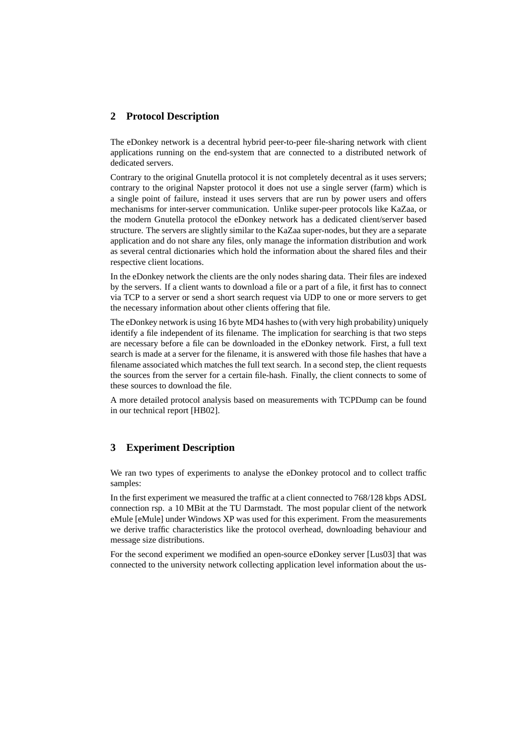#### **2 Protocol Description**

The eDonkey network is a decentral hybrid peer-to-peer file-sharing network with client applications running on the end-system that are connected to a distributed network of dedicated servers.

Contrary to the original Gnutella protocol it is not completely decentral as it uses servers; contrary to the original Napster protocol it does not use a single server (farm) which is a single point of failure, instead it uses servers that are run by power users and offers mechanisms for inter-server communication. Unlike super-peer protocols like KaZaa, or the modern Gnutella protocol the eDonkey network has a dedicated client/server based structure. The servers are slightly similar to the KaZaa super-nodes, but they are a separate application and do not share any files, only manage the information distribution and work as several central dictionaries which hold the information about the shared files and their respective client locations.

In the eDonkey network the clients are the only nodes sharing data. Their files are indexed by the servers. If a client wants to download a file or a part of a file, it first has to connect via TCP to a server or send a short search request via UDP to one or more servers to get the necessary information about other clients offering that file.

The eDonkey network is using 16 byte MD4 hashes to (with very high probability) uniquely identify a file independent of its filename. The implication for searching is that two steps are necessary before a file can be downloaded in the eDonkey network. First, a full text search is made at a server for the filename, it is answered with those file hashes that have a filename associated which matches the full text search. In a second step, the client requests the sources from the server for a certain file-hash. Finally, the client connects to some of these sources to download the file.

A more detailed protocol analysis based on measurements with TCPDump can be found in our technical report [HB02].

## **3 Experiment Description**

We ran two types of experiments to analyse the eDonkey protocol and to collect traffic samples:

In the first experiment we measured the traffic at a client connected to 768/128 kbps ADSL connection rsp. a 10 MBit at the TU Darmstadt. The most popular client of the network eMule [eMule] under Windows XP was used for this experiment. From the measurements we derive traffic characteristics like the protocol overhead, downloading behaviour and message size distributions.

For the second experiment we modified an open-source eDonkey server [Lus03] that was connected to the university network collecting application level information about the us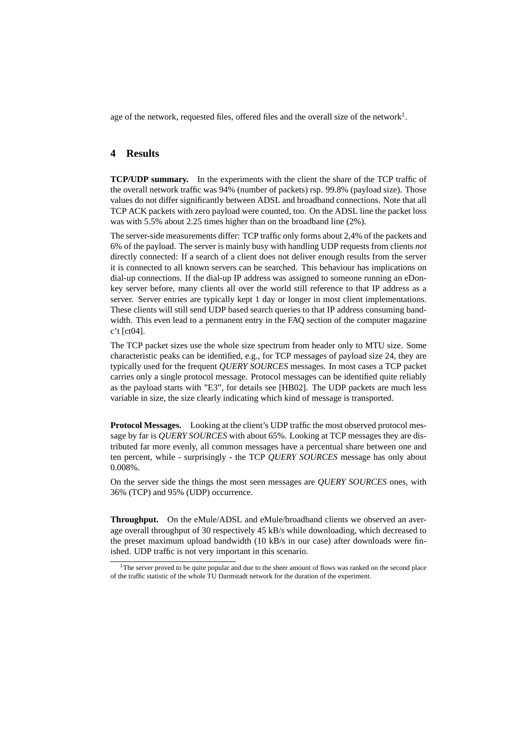age of the network, requested files, offered files and the overall size of the network<sup>1</sup>.

#### **4 Results**

**TCP/UDP summary.** In the experiments with the client the share of the TCP traffic of the overall network traffic was 94% (number of packets) rsp. 99.8% (payload size). Those values do not differ significantly between ADSL and broadband connections. Note that all TCP ACK packets with zero payload were counted, too. On the ADSL line the packet loss was with 5.5% about 2.25 times higher than on the broadband line (2%).

The server-side measurements differ: TCP traffic only forms about 2,4% of the packets and 6% of the payload. The server is mainly busy with handling UDP requests from clients *not* directly connected: If a search of a client does not deliver enough results from the server it is connected to all known servers can be searched. This behaviour has implications on dial-up connections. If the dial-up IP address was assigned to someone running an eDonkey server before, many clients all over the world still reference to that IP address as a server. Server entries are typically kept 1 day or longer in most client implementations. These clients will still send UDP based search queries to that IP address consuming bandwidth. This even lead to a permanent entry in the FAQ section of the computer magazine c't [ct04].

The TCP packet sizes use the whole size spectrum from header only to MTU size. Some characteristic peaks can be identified, e.g., for TCP messages of payload size 24, they are typically used for the frequent *QUERY SOURCES* messages. In most cases a TCP packet carries only a single protocol message. Protocol messages can be identified quite reliably as the payload starts with "E3", for details see [HB02]. The UDP packets are much less variable in size, the size clearly indicating which kind of message is transported.

**Protocol Messages.** Looking at the client's UDP traffic the most observed protocol message by far is *QUERY SOURCES* with about 65%. Looking at TCP messages they are distributed far more evenly, all common messages have a percentual share between one and ten percent, while - surprisingly - the TCP *QUERY SOURCES* message has only about 0.008%.

On the server side the things the most seen messages are *QUERY SOURCES* ones, with 36% (TCP) and 95% (UDP) occurrence.

**Throughput.** On the eMule/ADSL and eMule/broadband clients we observed an average overall throughput of 30 respectively 45 kB/s while downloading, which decreased to the preset maximum upload bandwidth (10 kB/s in our case) after downloads were finished. UDP traffic is not very important in this scenario.

 $1$ The server proved to be quite popular and due to the sheer amount of flows was ranked on the second place of the traffic statistic of the whole TU Darmstadt network for the duration of the experiment.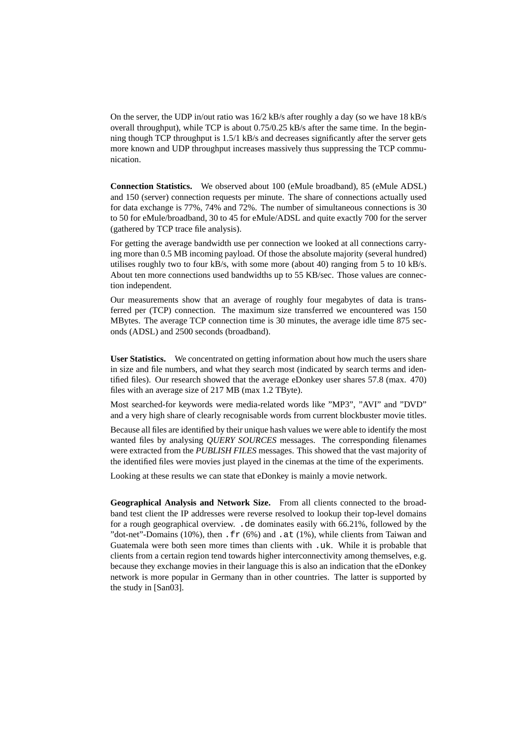On the server, the UDP in/out ratio was 16/2 kB/s after roughly a day (so we have 18 kB/s overall throughput), while TCP is about 0.75/0.25 kB/s after the same time. In the beginning though TCP throughput is 1.5/1 kB/s and decreases significantly after the server gets more known and UDP throughput increases massively thus suppressing the TCP communication.

**Connection Statistics.** We observed about 100 (eMule broadband), 85 (eMule ADSL) and 150 (server) connection requests per minute. The share of connections actually used for data exchange is 77%, 74% and 72%. The number of simultaneous connections is 30 to 50 for eMule/broadband, 30 to 45 for eMule/ADSL and quite exactly 700 for the server (gathered by TCP trace file analysis).

For getting the average bandwidth use per connection we looked at all connections carrying more than 0.5 MB incoming payload. Of those the absolute majority (several hundred) utilises roughly two to four  $kB/s$ , with some more (about 40) ranging from 5 to 10  $kB/s$ . About ten more connections used bandwidths up to 55 KB/sec. Those values are connection independent.

Our measurements show that an average of roughly four megabytes of data is transferred per (TCP) connection. The maximum size transferred we encountered was 150 MBytes. The average TCP connection time is 30 minutes, the average idle time 875 seconds (ADSL) and 2500 seconds (broadband).

**User Statistics.** We concentrated on getting information about how much the users share in size and file numbers, and what they search most (indicated by search terms and identified files). Our research showed that the average eDonkey user shares 57.8 (max. 470) files with an average size of 217 MB (max 1.2 TByte).

Most searched-for keywords were media-related words like "MP3", "AVI" and "DVD" and a very high share of clearly recognisable words from current blockbuster movie titles.

Because all files are identified by their unique hash values we were able to identify the most wanted files by analysing *QUERY SOURCES* messages. The corresponding filenames were extracted from the *PUBLISH FILES* messages. This showed that the vast majority of the identified files were movies just played in the cinemas at the time of the experiments.

Looking at these results we can state that eDonkey is mainly a movie network.

**Geographical Analysis and Network Size.** From all clients connected to the broadband test client the IP addresses were reverse resolved to lookup their top-level domains for a rough geographical overview. .de dominates easily with 66.21%, followed by the "dot-net"-Domains (10%), then  $\cdot$  fr (6%) and  $\cdot$  at (1%), while clients from Taiwan and Guatemala were both seen more times than clients with .uk. While it is probable that clients from a certain region tend towards higher interconnectivity among themselves, e.g. because they exchange movies in their language this is also an indication that the eDonkey network is more popular in Germany than in other countries. The latter is supported by the study in [San03].